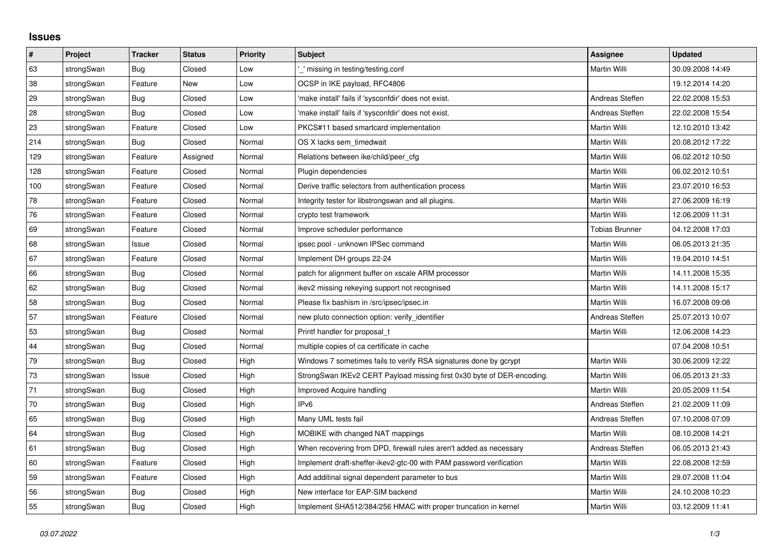## **Issues**

| $\pmb{\sharp}$ | Project    | <b>Tracker</b> | <b>Status</b> | <b>Priority</b> | <b>Subject</b>                                                         | <b>Assignee</b>       | <b>Updated</b>   |
|----------------|------------|----------------|---------------|-----------------|------------------------------------------------------------------------|-----------------------|------------------|
| 63             | strongSwan | Bug            | Closed        | Low             | ' missing in testing/testing.conf                                      | Martin Willi          | 30.09.2008 14:49 |
| 38             | strongSwan | Feature        | <b>New</b>    | Low             | OCSP in IKE payload, RFC4806                                           |                       | 19.12.2014 14:20 |
| 29             | strongSwan | Bug            | Closed        | Low             | 'make install' fails if 'sysconfdir' does not exist.                   | Andreas Steffen       | 22.02.2008 15:53 |
| 28             | strongSwan | Bug            | Closed        | Low             | 'make install' fails if 'sysconfdir' does not exist.                   | Andreas Steffen       | 22.02.2008 15:54 |
| 23             | strongSwan | Feature        | Closed        | Low             | PKCS#11 based smartcard implementation                                 | Martin Willi          | 12.10.2010 13:42 |
| 214            | strongSwan | <b>Bug</b>     | Closed        | Normal          | OS X lacks sem timedwait                                               | Martin Willi          | 20.08.2012 17:22 |
| 129            | strongSwan | Feature        | Assigned      | Normal          | Relations between ike/child/peer cfg                                   | Martin Willi          | 06.02.2012 10:50 |
| 128            | strongSwan | Feature        | Closed        | Normal          | Plugin dependencies                                                    | Martin Willi          | 06.02.2012 10:51 |
| 100            | strongSwan | Feature        | Closed        | Normal          | Derive traffic selectors from authentication process                   | Martin Willi          | 23.07.2010 16:53 |
| 78             | strongSwan | Feature        | Closed        | Normal          | Integrity tester for libstrongswan and all plugins.                    | Martin Willi          | 27.06.2009 16:19 |
| 76             | strongSwan | Feature        | Closed        | Normal          | crypto test framework                                                  | Martin Willi          | 12.06.2009 11:31 |
| 69             | strongSwan | Feature        | Closed        | Normal          | Improve scheduler performance                                          | <b>Tobias Brunner</b> | 04.12.2008 17:03 |
| 68             | strongSwan | Issue          | Closed        | Normal          | ipsec pool - unknown IPSec command                                     | Martin Willi          | 06.05.2013 21:35 |
| 67             | strongSwan | Feature        | Closed        | Normal          | Implement DH groups 22-24                                              | Martin Willi          | 19.04.2010 14:51 |
| 66             | strongSwan | Bug            | Closed        | Normal          | patch for alignment buffer on xscale ARM processor                     | Martin Willi          | 14.11.2008 15:35 |
| 62             | strongSwan | Bug            | Closed        | Normal          | ikev2 missing rekeying support not recognised                          | Martin Willi          | 14.11.2008 15:17 |
| 58             | strongSwan | Bug            | Closed        | Normal          | Please fix bashism in /src/ipsec/ipsec.in                              | Martin Willi          | 16.07.2008 09:08 |
| 57             | strongSwan | Feature        | Closed        | Normal          | new pluto connection option: verify identifier                         | Andreas Steffen       | 25.07.2013 10:07 |
| 53             | strongSwan | Bug            | Closed        | Normal          | Printf handler for proposal t                                          | Martin Willi          | 12.06.2008 14:23 |
| 44             | strongSwan | Bug            | Closed        | Normal          | multiple copies of ca certificate in cache                             |                       | 07.04.2008 10:51 |
| $79\,$         | strongSwan | Bug            | Closed        | High            | Windows 7 sometimes fails to verify RSA signatures done by gcrypt      | Martin Willi          | 30.06.2009 12:22 |
| 73             | strongSwan | Issue          | Closed        | High            | StrongSwan IKEv2 CERT Payload missing first 0x30 byte of DER-encoding. | Martin Willi          | 06.05.2013 21:33 |
| 71             | strongSwan | Bug            | Closed        | High            | Improved Acquire handling                                              | Martin Willi          | 20.05.2009 11:54 |
| 70             | strongSwan | Bug            | Closed        | High            | IP <sub>v6</sub>                                                       | Andreas Steffen       | 21.02.2009 11:09 |
| 65             | strongSwan | Bug            | Closed        | High            | Many UML tests fail                                                    | Andreas Steffen       | 07.10.2008 07:09 |
| 64             | strongSwan | Bug            | Closed        | High            | MOBIKE with changed NAT mappings                                       | Martin Willi          | 08.10.2008 14:21 |
| 61             | strongSwan | Bug            | Closed        | High            | When recovering from DPD, firewall rules aren't added as necessary     | Andreas Steffen       | 06.05.2013 21:43 |
| 60             | strongSwan | Feature        | Closed        | High            | Implement draft-sheffer-ikev2-gtc-00 with PAM password verification    | Martin Willi          | 22.08.2008 12:59 |
| 59             | strongSwan | Feature        | Closed        | High            | Add additinal signal dependent parameter to bus                        | Martin Willi          | 29.07.2008 11:04 |
| 56             | strongSwan | Bug            | Closed        | High            | New interface for EAP-SIM backend                                      | Martin Willi          | 24.10.2008 10:23 |
| 55             | strongSwan | Bug            | Closed        | High            | Implement SHA512/384/256 HMAC with proper truncation in kernel         | Martin Willi          | 03.12.2009 11:41 |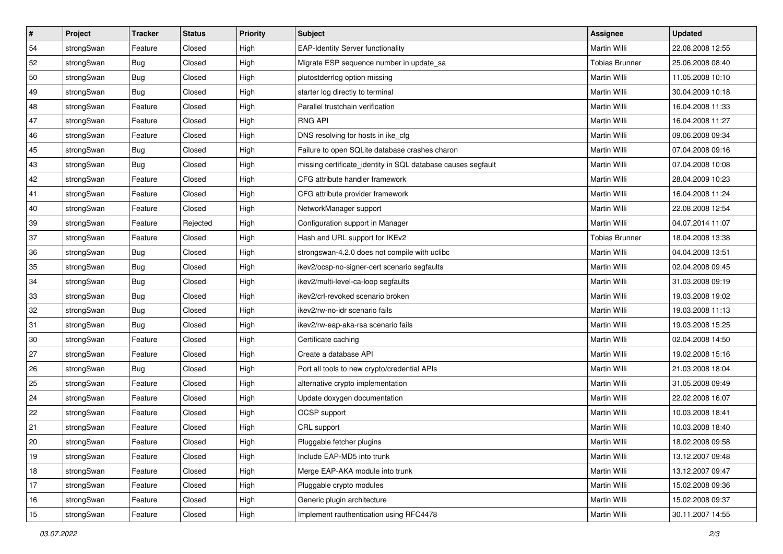| $\vert$ # | Project    | <b>Tracker</b> | <b>Status</b> | <b>Priority</b> | <b>Subject</b>                                               | <b>Assignee</b>       | <b>Updated</b>   |
|-----------|------------|----------------|---------------|-----------------|--------------------------------------------------------------|-----------------------|------------------|
| 54        | strongSwan | Feature        | Closed        | High            | <b>EAP-Identity Server functionality</b>                     | Martin Willi          | 22.08.2008 12:55 |
| 52        | strongSwan | Bug            | Closed        | High            | Migrate ESP sequence number in update_sa                     | <b>Tobias Brunner</b> | 25.06.2008 08:40 |
| 50        | strongSwan | <b>Bug</b>     | Closed        | High            | plutostderrlog option missing                                | Martin Willi          | 11.05.2008 10:10 |
| 49        | strongSwan | <b>Bug</b>     | Closed        | High            | starter log directly to terminal                             | Martin Willi          | 30.04.2009 10:18 |
| 48        | strongSwan | Feature        | Closed        | High            | Parallel trustchain verification                             | Martin Willi          | 16.04.2008 11:33 |
| 47        | strongSwan | Feature        | Closed        | High            | <b>RNG API</b>                                               | Martin Willi          | 16.04.2008 11:27 |
| 46        | strongSwan | Feature        | Closed        | High            | DNS resolving for hosts in ike_cfg                           | Martin Willi          | 09.06.2008 09:34 |
| 45        | strongSwan | Bug            | Closed        | High            | Failure to open SQLite database crashes charon               | Martin Willi          | 07.04.2008 09:16 |
| 43        | strongSwan | Bug            | Closed        | High            | missing certificate_identity in SQL database causes segfault | Martin Willi          | 07.04.2008 10:08 |
| 42        | strongSwan | Feature        | Closed        | High            | CFG attribute handler framework                              | Martin Willi          | 28.04.2009 10:23 |
| 41        | strongSwan | Feature        | Closed        | High            | CFG attribute provider framework                             | Martin Willi          | 16.04.2008 11:24 |
| 40        | strongSwan | Feature        | Closed        | High            | NetworkManager support                                       | Martin Willi          | 22.08.2008 12:54 |
| 39        | strongSwan | Feature        | Rejected      | High            | Configuration support in Manager                             | <b>Martin Willi</b>   | 04.07.2014 11:07 |
| 37        | strongSwan | Feature        | Closed        | High            | Hash and URL support for IKEv2                               | <b>Tobias Brunner</b> | 18.04.2008 13:38 |
| 36        | strongSwan | Bug            | Closed        | High            | strongswan-4.2.0 does not compile with uclibc                | <b>Martin Willi</b>   | 04.04.2008 13:51 |
| 35        | strongSwan | <b>Bug</b>     | Closed        | High            | ikev2/ocsp-no-signer-cert scenario segfaults                 | Martin Willi          | 02.04.2008 09:45 |
| 34        | strongSwan | <b>Bug</b>     | Closed        | High            | ikev2/multi-level-ca-loop segfaults                          | <b>Martin Willi</b>   | 31.03.2008 09:19 |
| 33        | strongSwan | Bug            | Closed        | High            | ikev2/crl-revoked scenario broken                            | Martin Willi          | 19.03.2008 19:02 |
| 32        | strongSwan | Bug            | Closed        | High            | ikev2/rw-no-idr scenario fails                               | Martin Willi          | 19.03.2008 11:13 |
| 31        | strongSwan | Bug            | Closed        | High            | ikev2/rw-eap-aka-rsa scenario fails                          | Martin Willi          | 19.03.2008 15:25 |
| 30        | strongSwan | Feature        | Closed        | High            | Certificate caching                                          | Martin Willi          | 02.04.2008 14:50 |
| 27        | strongSwan | Feature        | Closed        | High            | Create a database API                                        | Martin Willi          | 19.02.2008 15:16 |
| 26        | strongSwan | Bug            | Closed        | High            | Port all tools to new crypto/credential APIs                 | Martin Willi          | 21.03.2008 18:04 |
| 25        | strongSwan | Feature        | Closed        | High            | alternative crypto implementation                            | Martin Willi          | 31.05.2008 09:49 |
| 24        | strongSwan | Feature        | Closed        | High            | Update doxygen documentation                                 | Martin Willi          | 22.02.2008 16:07 |
| 22        | strongSwan | Feature        | Closed        | High            | OCSP support                                                 | Martin Willi          | 10.03.2008 18:41 |
| 21        | strongSwan | Feature        | Closed        | High            | CRL support                                                  | Martin Willi          | 10.03.2008 18:40 |
| 20        | strongSwan | Feature        | Closed        | High            | Pluggable fetcher plugins                                    | Martin Willi          | 18.02.2008 09:58 |
| 19        | strongSwan | Feature        | Closed        | High            | Include EAP-MD5 into trunk                                   | Martin Willi          | 13.12.2007 09:48 |
| 18        | strongSwan | Feature        | Closed        | High            | Merge EAP-AKA module into trunk                              | Martin Willi          | 13.12.2007 09:47 |
| 17        | strongSwan | Feature        | Closed        | High            | Pluggable crypto modules                                     | Martin Willi          | 15.02.2008 09:36 |
| 16        | strongSwan | Feature        | Closed        | High            | Generic plugin architecture                                  | Martin Willi          | 15.02.2008 09:37 |
| 15        | strongSwan | Feature        | Closed        | High            | Implement rauthentication using RFC4478                      | Martin Willi          | 30.11.2007 14:55 |